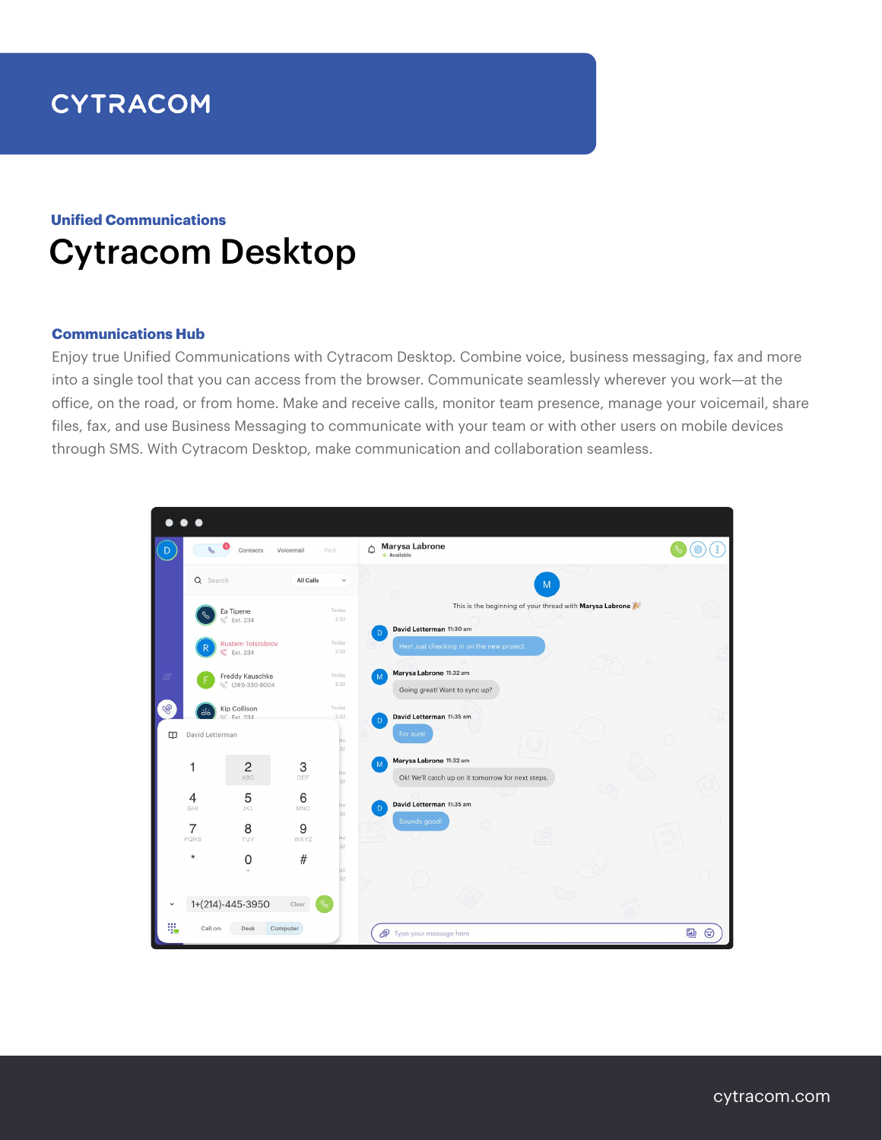# **CYTRACOM**

## Cytracom Desktop **Unified Communications**

## **Communications Hub**

Enjoy true Unified Communications with Cytracom Desktop. Combine voice, business messaging, fax and more into a single tool that you can access from the browser. Communicate seamlessly wherever you work—at the office, on the road, or from home. Make and receive calls, monitor team presence, manage your voicemail, share files, fax, and use Business Messaging to communicate with your team or with other users on mobile devices through SMS. With Cytracom Desktop, make communication and collaboration seamless.